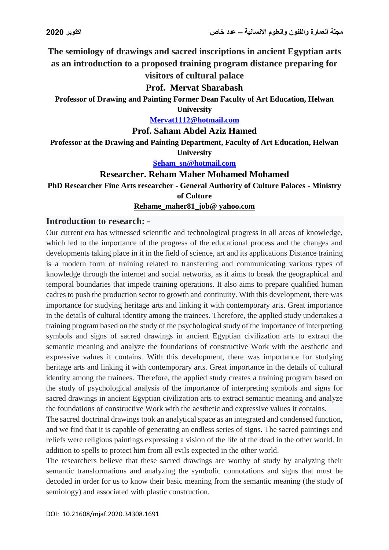**The semiology of drawings and sacred inscriptions in ancient Egyptian arts as an introduction to a proposed training program distance preparing for**

# **visitors of cultural palace**

#### **Prof. Mervat Sharabash**

**Professor of Drawing and Painting Former Dean Faculty of Art Education, Helwan** 

**University**

**[Mervat1112@hotmail.com](mailto:Mervat1112@hotmail.com)**

**Prof. Saham Abdel Aziz Hamed**

**Professor at the Drawing and Painting Department, Faculty of Art Education, Helwan University**

**[Seham\\_sn@hotmail.com](mailto:Seham_sn@hotmail.com)**

## **Researcher. Reham Maher Mohamed Mohamed**

**PhD Researcher Fine Arts researcher - General Authority of Culture Palaces - Ministry of Culture**

#### **Rehame\_maher81\_job@ yahoo.com**

#### **Introduction to research: -**

Our current era has witnessed scientific and technological progress in all areas of knowledge, which led to the importance of the progress of the educational process and the changes and developments taking place in it in the field of science, art and its applications Distance training is a modern form of training related to transferring and communicating various types of knowledge through the internet and social networks, as it aims to break the geographical and temporal boundaries that impede training operations. It also aims to prepare qualified human cadres to push the production sector to growth and continuity. With this development, there was importance for studying heritage arts and linking it with contemporary arts. Great importance in the details of cultural identity among the trainees. Therefore, the applied study undertakes a training program based on the study of the psychological study of the importance of interpreting symbols and signs of sacred drawings in ancient Egyptian civilization arts to extract the semantic meaning and analyze the foundations of constructive Work with the aesthetic and expressive values it contains. With this development, there was importance for studying heritage arts and linking it with contemporary arts. Great importance in the details of cultural identity among the trainees. Therefore, the applied study creates a training program based on the study of psychological analysis of the importance of interpreting symbols and signs for sacred drawings in ancient Egyptian civilization arts to extract semantic meaning and analyze the foundations of constructive Work with the aesthetic and expressive values it contains.

The sacred doctrinal drawings took an analytical space as an integrated and condensed function, and we find that it is capable of generating an endless series of signs. The sacred paintings and reliefs were religious paintings expressing a vision of the life of the dead in the other world. In addition to spells to protect him from all evils expected in the other world.

The researchers believe that these sacred drawings are worthy of study by analyzing their semantic transformations and analyzing the symbolic connotations and signs that must be decoded in order for us to know their basic meaning from the semantic meaning (the study of semiology) and associated with plastic construction.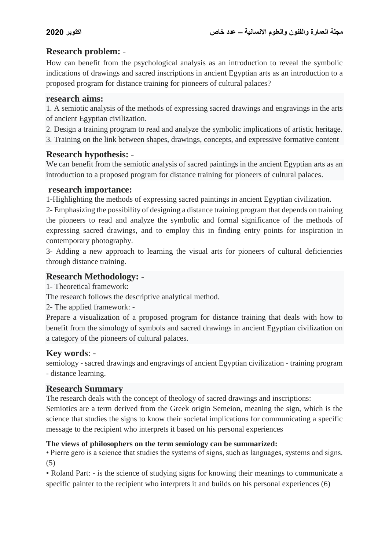# **Research problem:** -

How can benefit from the psychological analysis as an introduction to reveal the symbolic indications of drawings and sacred inscriptions in ancient Egyptian arts as an introduction to a proposed program for distance training for pioneers of cultural palaces?

## **research aims:**

1. A semiotic analysis of the methods of expressing sacred drawings and engravings in the arts of ancient Egyptian civilization.

2. Design a training program to read and analyze the symbolic implications of artistic heritage.

3. Training on the link between shapes, drawings, concepts, and expressive formative content

# **Research hypothesis: -**

We can benefit from the semiotic analysis of sacred paintings in the ancient Egyptian arts as an introduction to a proposed program for distance training for pioneers of cultural palaces.

## **research importance:**

1-Highlighting the methods of expressing sacred paintings in ancient Egyptian civilization.

2- Emphasizing the possibility of designing a distance training program that depends on training the pioneers to read and analyze the symbolic and formal significance of the methods of expressing sacred drawings, and to employ this in finding entry points for inspiration in contemporary photography.

3- Adding a new approach to learning the visual arts for pioneers of cultural deficiencies through distance training.

# **Research Methodology: -**

1- Theoretical framework:

The research follows the descriptive analytical method.

2- The applied framework: -

Prepare a visualization of a proposed program for distance training that deals with how to benefit from the simology of symbols and sacred drawings in ancient Egyptian civilization on a category of the pioneers of cultural palaces.

# **Key words**: -

semiology - sacred drawings and engravings of ancient Egyptian civilization - training program - distance learning.

# **Research Summary**

The research deals with the concept of theology of sacred drawings and inscriptions:

Semiotics are a term derived from the Greek origin Semeion, meaning the sign, which is the science that studies the signs to know their societal implications for communicating a specific message to the recipient who interprets it based on his personal experiences

# **The views of philosophers on the term semiology can be summarized:**

• Pierre gero is a science that studies the systems of signs, such as languages, systems and signs. (5)

• Roland Part: - is the science of studying signs for knowing their meanings to communicate a specific painter to the recipient who interprets it and builds on his personal experiences (6)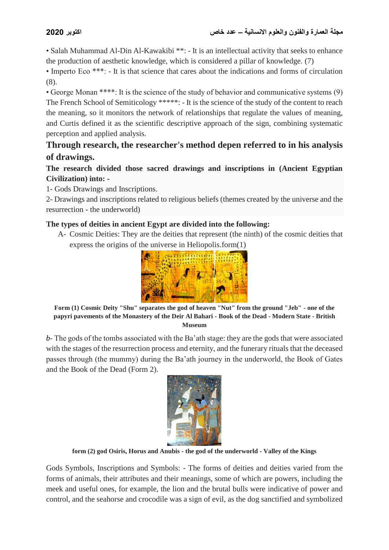• Salah Muhammad Al-Din Al-Kawakibi \*\*: - It is an intellectual activity that seeks to enhance the production of aesthetic knowledge, which is considered a pillar of knowledge. (7)

• Imperto Eco \*\*\*: - It is that science that cares about the indications and forms of circulation (8).

• George Monan \*\*\*\*: It is the science of the study of behavior and communicative systems (9) The French School of Semiticology \*\*\*\*\*: - It is the science of the study of the content to reach the meaning, so it monitors the network of relationships that regulate the values of meaning, and Curtis defined it as the scientific descriptive approach of the sign, combining systematic perception and applied analysis.

# **Through research, the researcher's method depen referred to in his analysis of drawings.**

## **The research divided those sacred drawings and inscriptions in (Ancient Egyptian Civilization) into: -**

1- Gods Drawings and Inscriptions.

2- Drawings and inscriptions related to religious beliefs (themes created by the universe and the resurrection - the underworld)

## **The types of deities in ancient Egypt are divided into the following:**

A- Cosmic Deities: They are the deities that represent (the ninth) of the cosmic deities that express the origins of the universe in Heliopolis.form(1)



**Form (1) Cosmic Deity "Shu" separates the god of heaven "Nut" from the ground "Jeb" - one of the papyri pavements of the Monastery of the Deir Al Bahari - Book of the Dead - Modern State - British Museum**

*b*- The gods of the tombs associated with the Ba'ath stage: they are the gods that were associated with the stages of the resurrection process and eternity, and the funerary rituals that the deceased passes through (the mummy) during the Ba'ath journey in the underworld, the Book of Gates and the Book of the Dead (Form 2).



**form (2) god Osiris, Horus and Anubis - the god of the underworld - Valley of the Kings**

Gods Symbols, Inscriptions and Symbols: - The forms of deities and deities varied from the forms of animals, their attributes and their meanings, some of which are powers, including the meek and useful ones, for example, the lion and the brutal bulls were indicative of power and control, and the seahorse and crocodile was a sign of evil, as the dog sanctified and symbolized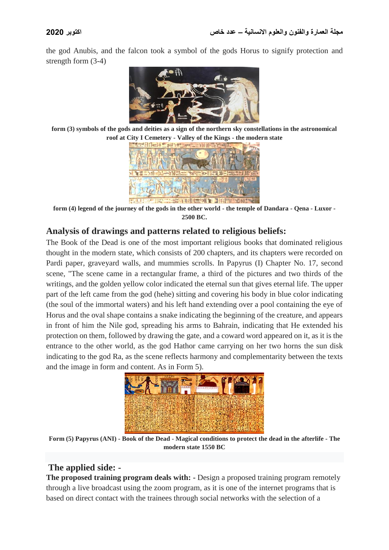the god Anubis, and the falcon took a symbol of the gods Horus to signify protection and strength form (3-4)



**form (3) symbols of the gods and deities as a sign of the northern sky constellations in the astronomical roof at City I Cemetery - Valley of the Kings - the modern state**



**form (4) legend of the journey of the gods in the other world - the temple of Dandara - Qena - Luxor - 2500 BC.**

## **Analysis of drawings and patterns related to religious beliefs:**

The Book of the Dead is one of the most important religious books that dominated religious thought in the modern state, which consists of 200 chapters, and its chapters were recorded on Pardi paper, graveyard walls, and mummies scrolls. In Papyrus (I) Chapter No. 17, second scene, "The scene came in a rectangular frame, a third of the pictures and two thirds of the writings, and the golden yellow color indicated the eternal sun that gives eternal life. The upper part of the left came from the god (hehe) sitting and covering his body in blue color indicating (the soul of the immortal waters) and his left hand extending over a pool containing the eye of Horus and the oval shape contains a snake indicating the beginning of the creature, and appears in front of him the Nile god, spreading his arms to Bahrain, indicating that He extended his protection on them, followed by drawing the gate, and a coward word appeared on it, as it is the entrance to the other world, as the god Hathor came carrying on her two horns the sun disk indicating to the god Ra, as the scene reflects harmony and complementarity between the texts and the image in form and content. As in Form 5).



**Form (5) Papyrus (ANI) - Book of the Dead - Magical conditions to protect the dead in the afterlife - The modern state 1550 BC**

# **The applied side: -**

**The proposed training program deals with: -** Design a proposed training program remotely through a live broadcast using the zoom program, as it is one of the internet programs that is based on direct contact with the trainees through social networks with the selection of a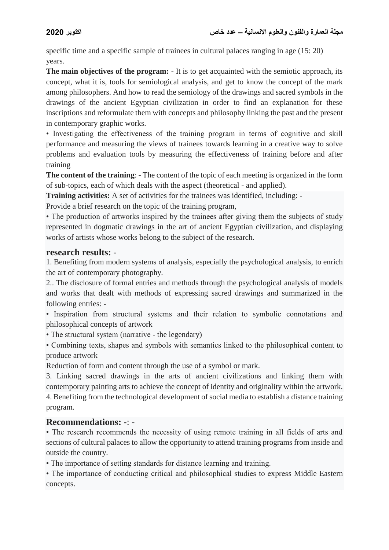specific time and a specific sample of trainees in cultural palaces ranging in age (15: 20) years.

**The main objectives of the program:** - It is to get acquainted with the semiotic approach, its concept, what it is, tools for semiological analysis, and get to know the concept of the mark among philosophers. And how to read the semiology of the drawings and sacred symbols in the drawings of the ancient Egyptian civilization in order to find an explanation for these inscriptions and reformulate them with concepts and philosophy linking the past and the present in contemporary graphic works.

• Investigating the effectiveness of the training program in terms of cognitive and skill performance and measuring the views of trainees towards learning in a creative way to solve problems and evaluation tools by measuring the effectiveness of training before and after training

**The content of the training**: - The content of the topic of each meeting is organized in the form of sub-topics, each of which deals with the aspect (theoretical - and applied).

**Training activities:** A set of activities for the trainees was identified, including: -

Provide a brief research on the topic of the training program,

• The production of artworks inspired by the trainees after giving them the subjects of study represented in dogmatic drawings in the art of ancient Egyptian civilization, and displaying works of artists whose works belong to the subject of the research.

#### **research results: -**

1. Benefiting from modern systems of analysis, especially the psychological analysis, to enrich the art of contemporary photography.

2.. The disclosure of formal entries and methods through the psychological analysis of models and works that dealt with methods of expressing sacred drawings and summarized in the following entries: -

• Inspiration from structural systems and their relation to symbolic connotations and philosophical concepts of artwork

• The structural system (narrative - the legendary)

• Combining texts, shapes and symbols with semantics linked to the philosophical content to produce artwork

Reduction of form and content through the use of a symbol or mark.

3. Linking sacred drawings in the arts of ancient civilizations and linking them with contemporary painting arts to achieve the concept of identity and originality within the artwork. 4. Benefiting from the technological development of social media to establish a distance training program.

## **Recommendations: -**: -

• The research recommends the necessity of using remote training in all fields of arts and sections of cultural palaces to allow the opportunity to attend training programs from inside and outside the country.

• The importance of setting standards for distance learning and training.

• The importance of conducting critical and philosophical studies to express Middle Eastern concepts.